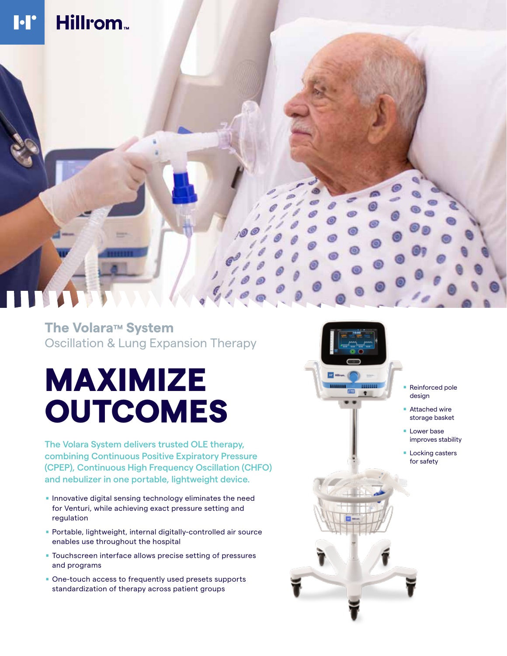# Hillrom. **I**·I'

## **The Volara ™ System** Oscillation & Lung Expansion Therapy

# MAXIMIZE OUTCOMES

The Volara System delivers trusted OLE therapy, combining Continuous Positive Expiratory Pressure (CPEP), Continuous High Frequency Oscillation (CHFO) and nebulizer in one portable, lightweight device.<br>Innovative digital sensing technology eliminates the need

- for Venturi, while achieving exact pressure setting and regulation
- . Portable, lightweight, internal digitally-controlled air source enables use throughout the hospital
- . Touchscreen interface allows precise setting of pressures and programs
- . One-touch access to frequently used presets supports standardization of therapy across patient groups



- . Reinforced pole design
- Attached wire storage basket
- **Lower base** improves stability
- **Locking casters** for safety